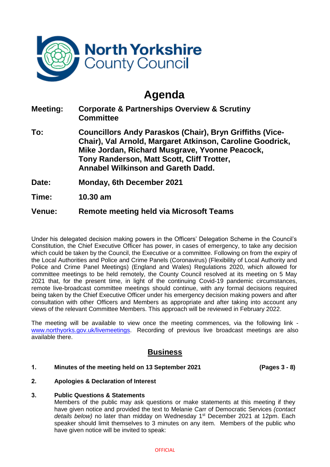

# **Agenda**

| <b>Meeting:</b> | <b>Corporate &amp; Partnerships Overview &amp; Scrutiny</b><br><b>Committee</b>                                                                                                                                                                                           |
|-----------------|---------------------------------------------------------------------------------------------------------------------------------------------------------------------------------------------------------------------------------------------------------------------------|
| To:             | <b>Councillors Andy Paraskos (Chair), Bryn Griffiths (Vice-</b><br>Chair), Val Arnold, Margaret Atkinson, Caroline Goodrick,<br>Mike Jordan, Richard Musgrave, Yvonne Peacock,<br>Tony Randerson, Matt Scott, Cliff Trotter,<br><b>Annabel Wilkinson and Gareth Dadd.</b> |
| Date:           | <b>Monday, 6th December 2021</b>                                                                                                                                                                                                                                          |

**Time: 10.30 am**

# **Venue: Remote meeting held via Microsoft Teams**

Under his delegated decision making powers in the Officers' Delegation Scheme in the Council's Constitution, the Chief Executive Officer has power, in cases of emergency, to take any decision which could be taken by the Council, the Executive or a committee. Following on from the expiry of the Local Authorities and Police and Crime Panels (Coronavirus) (Flexibility of Local Authority and Police and Crime Panel Meetings) (England and Wales) Regulations 2020, which allowed for committee meetings to be held remotely, the County Council resolved at its meeting on 5 May 2021 that, for the present time, in light of the continuing Covid-19 pandemic circumstances, remote live-broadcast committee meetings should continue, with any formal decisions required being taken by the Chief Executive Officer under his emergency decision making powers and after consultation with other Officers and Members as appropriate and after taking into account any views of the relevant Committee Members. This approach will be reviewed in February 2022.

The meeting will be available to view once the meeting commences, via the following link [www.northyorks.gov.uk/livemeetings.](http://www.northyorks.gov.uk/livemeetings) Recording of previous live broadcast meetings are also available there.

## **Business**

### **1. Minutes of the meeting held on 13 September 2021 (Pages 3 - 8)**

### **2. Apologies & Declaration of Interest**

#### **3. Public Questions & Statements**

Members of the public may ask questions or make statements at this meeting if they have given notice and provided the text to Melanie Carr of Democratic Services *(contact details below)* no later than midday on Wednesday 1st December 2021 at 12pm. Each speaker should limit themselves to 3 minutes on any item. Members of the public who have given notice will be invited to speak: